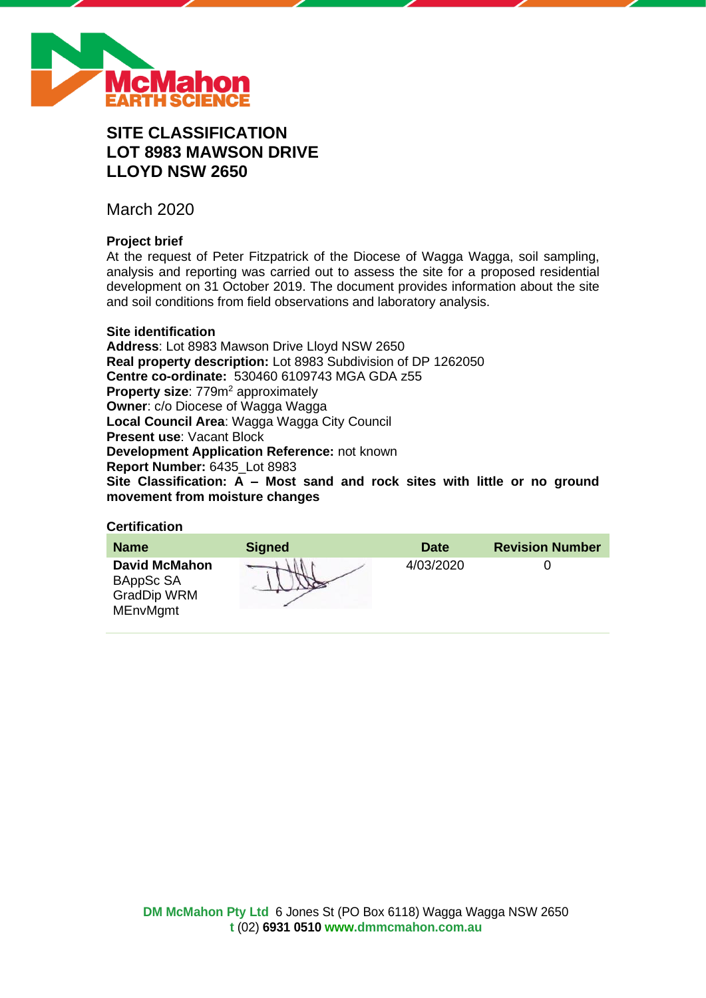

# **SITE CLASSIFICATION LOT 8983 MAWSON DRIVE LLOYD NSW 2650**

March 2020

# **Project brief**

At the request of Peter Fitzpatrick of the Diocese of Wagga Wagga, soil sampling, analysis and reporting was carried out to assess the site for a proposed residential development on 31 October 2019. The document provides information about the site and soil conditions from field observations and laboratory analysis.

# **Site identification**

**Address**: Lot 8983 Mawson Drive Lloyd NSW 2650 **Real property description:** Lot 8983 Subdivision of DP 1262050 **Centre co-ordinate:** 530460 6109743 MGA GDA z55 **Property size:** 779m<sup>2</sup> approximately **Owner**: c/o Diocese of Wagga Wagga **Local Council Area**: Wagga Wagga City Council **Present use**: Vacant Block **Development Application Reference:** not known **Report Number:** 6435\_Lot 8983 **Site Classification: A – Most sand and rock sites with little or no ground movement from moisture changes**

# **Certification**

| <b>Name</b>                                                                | <b>Signed</b> | <b>Date</b> | <b>Revision Number</b> |
|----------------------------------------------------------------------------|---------------|-------------|------------------------|
| <b>David McMahon</b><br>BAppSc SA<br><b>GradDip WRM</b><br><b>MEnvMgmt</b> |               | 4/03/2020   |                        |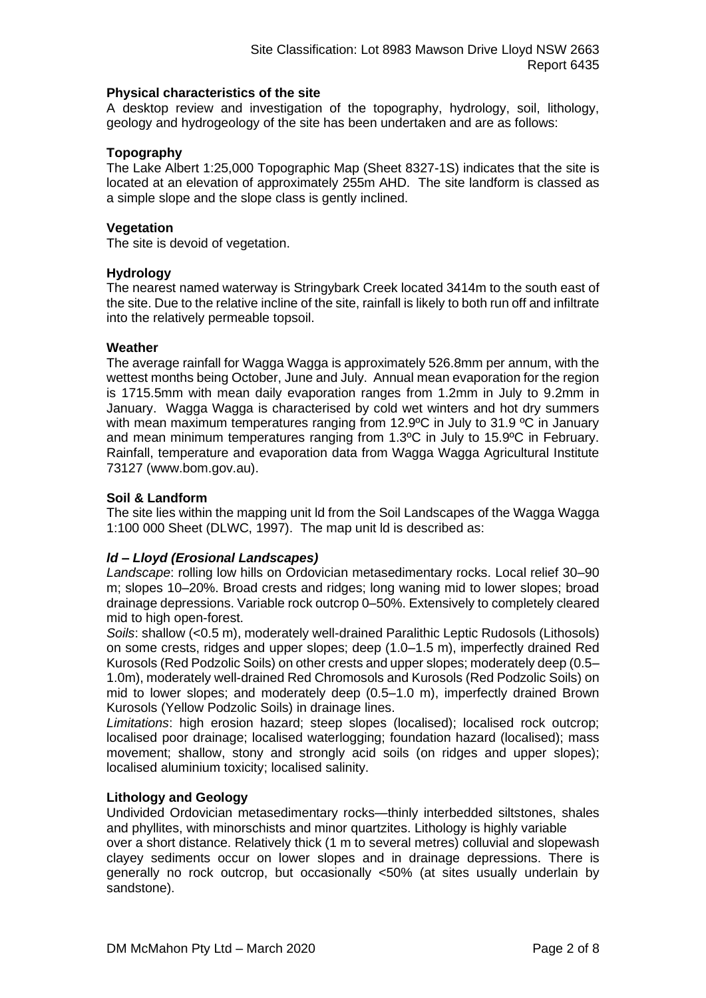#### **Physical characteristics of the site**

A desktop review and investigation of the topography, hydrology, soil, lithology, geology and hydrogeology of the site has been undertaken and are as follows:

# **Topography**

The Lake Albert 1:25,000 Topographic Map (Sheet 8327-1S) indicates that the site is located at an elevation of approximately 255m AHD. The site landform is classed as a simple slope and the slope class is gently inclined.

# **Vegetation**

The site is devoid of vegetation.

# **Hydrology**

The nearest named waterway is Stringybark Creek located 3414m to the south east of the site. Due to the relative incline of the site, rainfall is likely to both run off and infiltrate into the relatively permeable topsoil.

# **Weather**

The average rainfall for Wagga Wagga is approximately 526.8mm per annum, with the wettest months being October, June and July. Annual mean evaporation for the region is 1715.5mm with mean daily evaporation ranges from 1.2mm in July to 9.2mm in January. Wagga Wagga is characterised by cold wet winters and hot dry summers with mean maximum temperatures ranging from 12.9°C in July to 31.9 °C in January and mean minimum temperatures ranging from 1.3ºC in July to 15.9ºC in February. Rainfall, temperature and evaporation data from Wagga Wagga Agricultural Institute 73127 (www.bom.gov.au).

# **Soil & Landform**

The site lies within the mapping unit ld from the Soil Landscapes of the Wagga Wagga 1:100 000 Sheet (DLWC, 1997). The map unit ld is described as:

# *ld – Lloyd (Erosional Landscapes)*

*Landscape*: rolling low hills on Ordovician metasedimentary rocks. Local relief 30–90 m; slopes 10–20%. Broad crests and ridges; long waning mid to lower slopes; broad drainage depressions. Variable rock outcrop 0–50%. Extensively to completely cleared mid to high open-forest.

*Soils*: shallow (<0.5 m), moderately well-drained Paralithic Leptic Rudosols (Lithosols) on some crests, ridges and upper slopes; deep (1.0–1.5 m), imperfectly drained Red Kurosols (Red Podzolic Soils) on other crests and upper slopes; moderately deep (0.5– 1.0m), moderately well-drained Red Chromosols and Kurosols (Red Podzolic Soils) on mid to lower slopes; and moderately deep (0.5–1.0 m), imperfectly drained Brown Kurosols (Yellow Podzolic Soils) in drainage lines.

*Limitations*: high erosion hazard; steep slopes (localised); localised rock outcrop; localised poor drainage; localised waterlogging; foundation hazard (localised); mass movement; shallow, stony and strongly acid soils (on ridges and upper slopes); localised aluminium toxicity; localised salinity.

#### **Lithology and Geology**

Undivided Ordovician metasedimentary rocks—thinly interbedded siltstones, shales and phyllites, with minorschists and minor quartzites. Lithology is highly variable

over a short distance. Relatively thick (1 m to several metres) colluvial and slopewash clayey sediments occur on lower slopes and in drainage depressions. There is generally no rock outcrop, but occasionally <50% (at sites usually underlain by sandstone).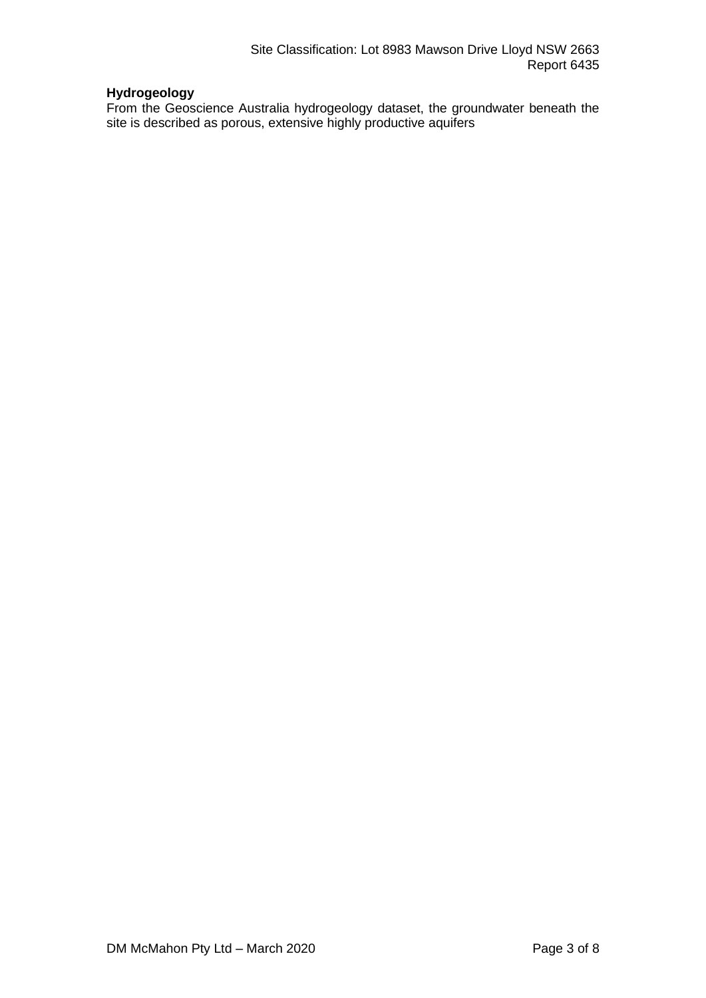# **Hydrogeology**

From the Geoscience Australia hydrogeology dataset, the groundwater beneath the site is described as porous, extensive highly productive aquifers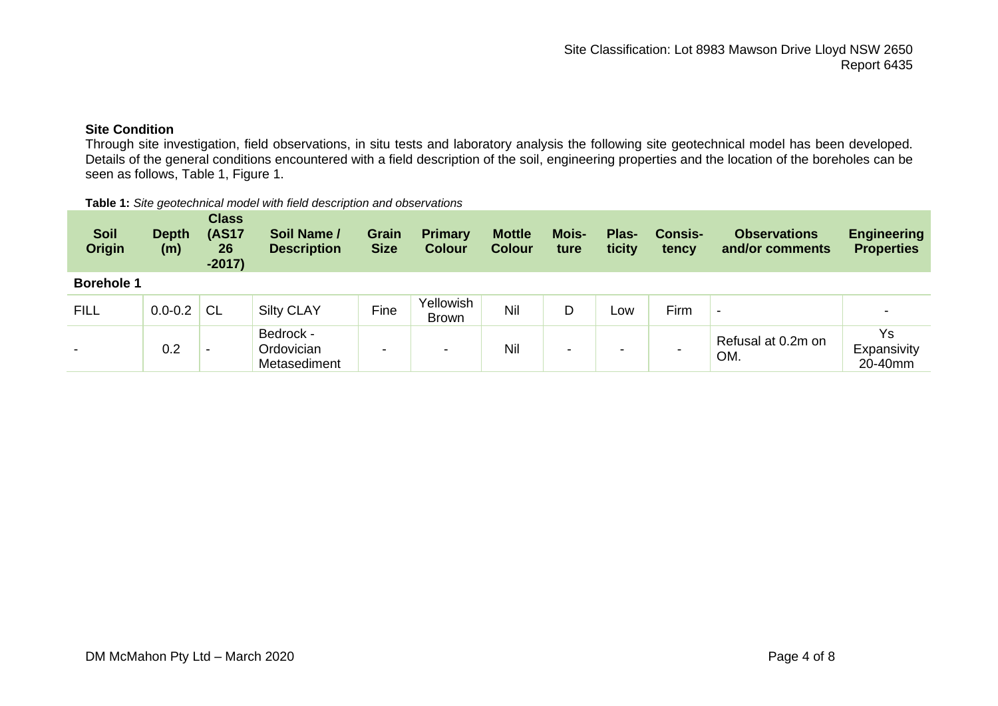# **Site Condition**

Through site investigation, field observations, in situ tests and laboratory analysis the following site geotechnical model has been developed. Details of the general conditions encountered with a field description of the soil, engineering properties and the location of the boreholes can be seen as follows, Table 1, Figure 1.

#### **Table 1:** *Site geotechnical model with field description and observations*

| <b>Soil</b><br><b>Origin</b> | <b>Depth</b><br>(m) | <b>Class</b><br><b>(AS17</b><br>26<br>$-2017)$ | <b>Soil Name /</b><br><b>Description</b> | <b>Grain</b><br><b>Size</b> | <b>Primary</b><br><b>Colour</b> | <b>Mottle</b><br><b>Colour</b> | <b>Mois-</b><br>ture | Plas-<br>ticity | <b>Consis-</b><br>tency | <b>Observations</b><br>and/or comments | <b>Engineering</b><br><b>Properties</b> |
|------------------------------|---------------------|------------------------------------------------|------------------------------------------|-----------------------------|---------------------------------|--------------------------------|----------------------|-----------------|-------------------------|----------------------------------------|-----------------------------------------|
| <b>Borehole 1</b>            |                     |                                                |                                          |                             |                                 |                                |                      |                 |                         |                                        |                                         |
| <b>FILL</b>                  | $0.0 - 0.2$         | <b>CL</b>                                      | <b>Silty CLAY</b>                        | Fine                        | Yellowish<br><b>Brown</b>       | Nil                            | D                    | Low             | Firm                    |                                        |                                         |
| $\overline{\phantom{a}}$     | 0.2                 | $\overline{\phantom{0}}$                       | Bedrock -<br>Ordovician<br>Metasediment  | $\,$                        | $\overline{\phantom{0}}$        | Nil                            | -                    | -               |                         | Refusal at 0.2m on<br>OM.              | Ys<br>Expansivity<br>20-40mm            |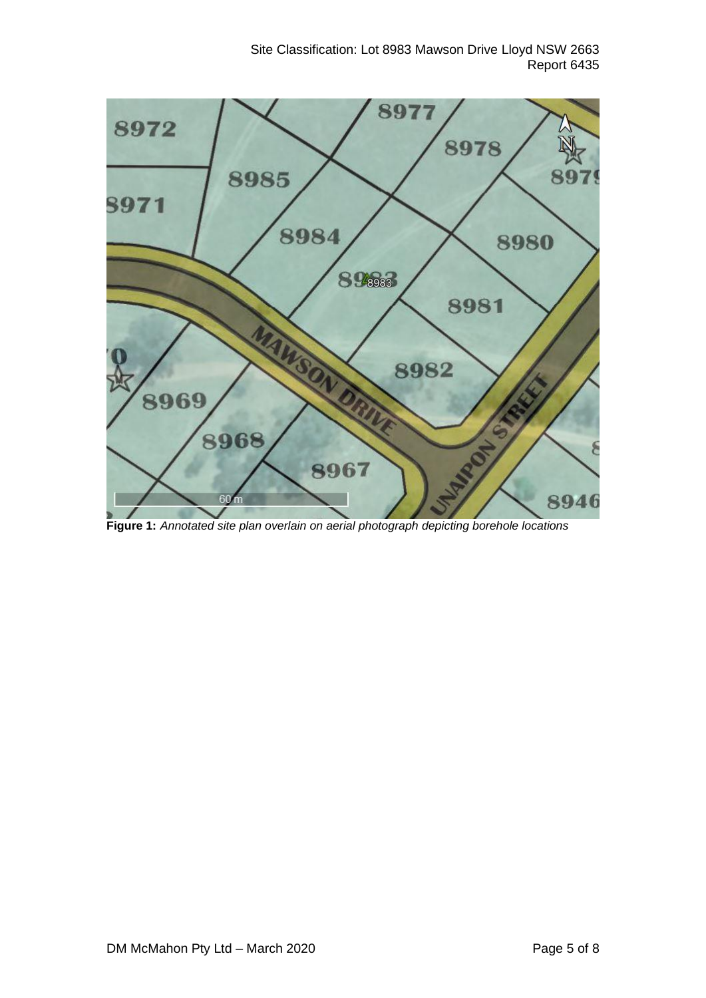

**Figure 1:** *Annotated site plan overlain on aerial photograph depicting borehole locations*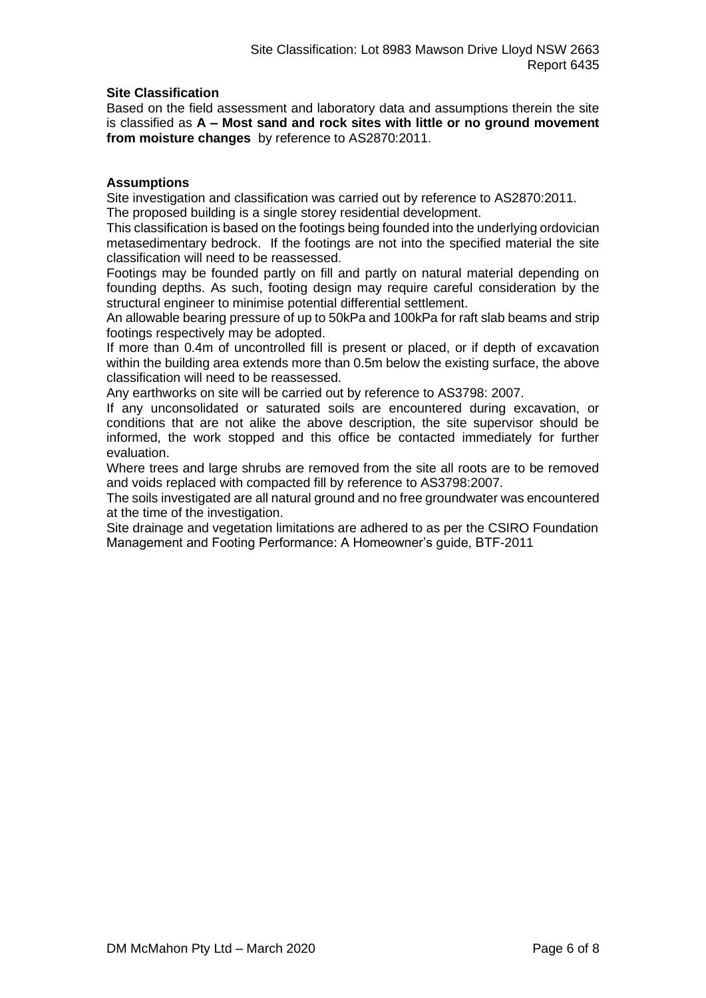# **Site Classification**

Based on the field assessment and laboratory data and assumptions therein the site is classified as **A – Most sand and rock sites with little or no ground movement from moisture changes** by reference to AS2870:2011.

# **Assumptions**

Site investigation and classification was carried out by reference to AS2870:2011. The proposed building is a single storey residential development.

This classification is based on the footings being founded into the underlying ordovician metasedimentary bedrock. If the footings are not into the specified material the site classification will need to be reassessed.

Footings may be founded partly on fill and partly on natural material depending on founding depths. As such, footing design may require careful consideration by the structural engineer to minimise potential differential settlement.

An allowable bearing pressure of up to 50kPa and 100kPa for raft slab beams and strip footings respectively may be adopted.

If more than 0.4m of uncontrolled fill is present or placed, or if depth of excavation within the building area extends more than 0.5m below the existing surface, the above classification will need to be reassessed.

Any earthworks on site will be carried out by reference to AS3798: 2007.

If any unconsolidated or saturated soils are encountered during excavation, or conditions that are not alike the above description, the site supervisor should be informed, the work stopped and this office be contacted immediately for further evaluation.

Where trees and large shrubs are removed from the site all roots are to be removed and voids replaced with compacted fill by reference to AS3798:2007.

The soils investigated are all natural ground and no free groundwater was encountered at the time of the investigation.

Site drainage and vegetation limitations are adhered to as per the CSIRO Foundation Management and Footing Performance: A Homeowner's guide, BTF-2011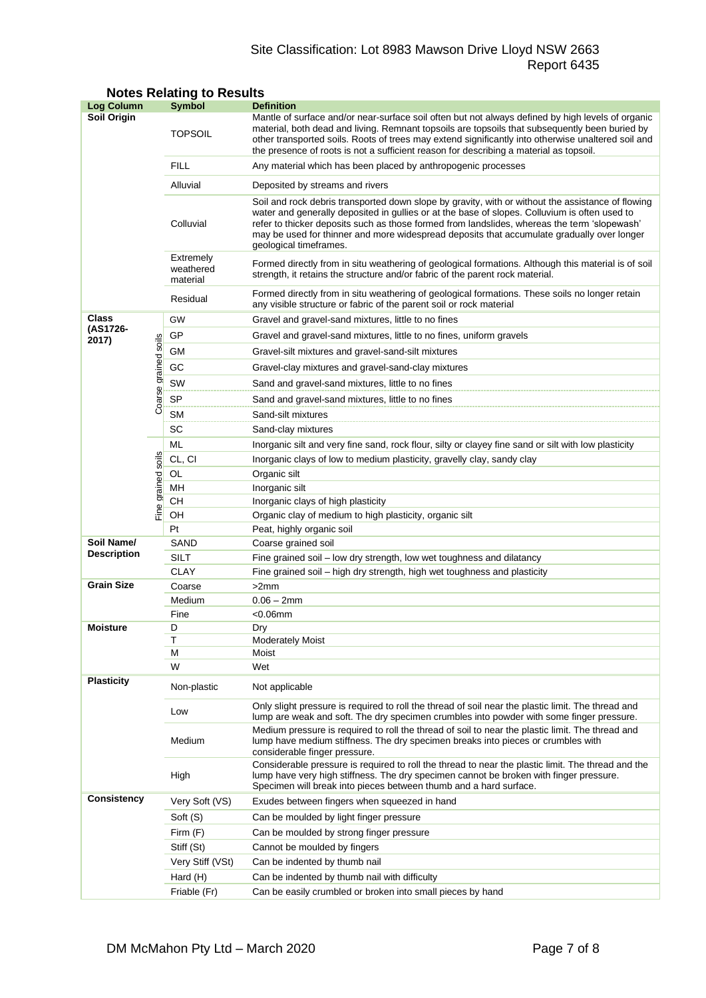# Site Classification: Lot 8983 Mawson Drive Lloyd NSW 2663 Report 6435

| <b>Log Column</b>                |                      | <b>Symbol</b>                      | <b>Definition</b>                                                                                                                                                                                                                                                                                                                                                                                                          |  |  |  |
|----------------------------------|----------------------|------------------------------------|----------------------------------------------------------------------------------------------------------------------------------------------------------------------------------------------------------------------------------------------------------------------------------------------------------------------------------------------------------------------------------------------------------------------------|--|--|--|
| Soil Origin                      |                      | <b>TOPSOIL</b>                     | Mantle of surface and/or near-surface soil often but not always defined by high levels of organic<br>material, both dead and living. Remnant topsoils are topsoils that subsequently been buried by<br>other transported soils. Roots of trees may extend significantly into otherwise unaltered soil and<br>the presence of roots is not a sufficient reason for describing a material as topsoil.                        |  |  |  |
|                                  |                      | <b>FILL</b>                        | Any material which has been placed by anthropogenic processes                                                                                                                                                                                                                                                                                                                                                              |  |  |  |
|                                  |                      | Alluvial                           | Deposited by streams and rivers                                                                                                                                                                                                                                                                                                                                                                                            |  |  |  |
|                                  |                      | Colluvial                          | Soil and rock debris transported down slope by gravity, with or without the assistance of flowing<br>water and generally deposited in gullies or at the base of slopes. Colluvium is often used to<br>refer to thicker deposits such as those formed from landslides, whereas the term 'slopewash'<br>may be used for thinner and more widespread deposits that accumulate gradually over longer<br>geological timeframes. |  |  |  |
|                                  |                      | Extremely<br>weathered<br>material | Formed directly from in situ weathering of geological formations. Although this material is of soil<br>strength, it retains the structure and/or fabric of the parent rock material.                                                                                                                                                                                                                                       |  |  |  |
|                                  |                      | Residual                           | Formed directly from in situ weathering of geological formations. These soils no longer retain<br>any visible structure or fabric of the parent soil or rock material                                                                                                                                                                                                                                                      |  |  |  |
| Class                            |                      | GW                                 | Gravel and gravel-sand mixtures, little to no fines                                                                                                                                                                                                                                                                                                                                                                        |  |  |  |
| (AS1726-<br>2017)                |                      | GP                                 | Gravel and gravel-sand mixtures, little to no fines, uniform gravels                                                                                                                                                                                                                                                                                                                                                       |  |  |  |
|                                  |                      | GМ                                 | Gravel-silt mixtures and gravel-sand-silt mixtures                                                                                                                                                                                                                                                                                                                                                                         |  |  |  |
|                                  |                      | GC                                 | Gravel-clay mixtures and gravel-sand-clay mixtures                                                                                                                                                                                                                                                                                                                                                                         |  |  |  |
|                                  |                      | SW                                 | Sand and gravel-sand mixtures, little to no fines                                                                                                                                                                                                                                                                                                                                                                          |  |  |  |
|                                  | Coarse grained soils | <b>SP</b>                          | Sand and gravel-sand mixtures, little to no fines                                                                                                                                                                                                                                                                                                                                                                          |  |  |  |
|                                  |                      | SМ                                 | Sand-silt mixtures                                                                                                                                                                                                                                                                                                                                                                                                         |  |  |  |
|                                  |                      | SC                                 | Sand-clay mixtures                                                                                                                                                                                                                                                                                                                                                                                                         |  |  |  |
|                                  |                      | ML                                 | Inorganic silt and very fine sand, rock flour, silty or clayey fine sand or silt with low plasticity                                                                                                                                                                                                                                                                                                                       |  |  |  |
|                                  |                      | CL, CI                             | Inorganic clays of low to medium plasticity, gravelly clay, sandy clay                                                                                                                                                                                                                                                                                                                                                     |  |  |  |
|                                  |                      | OL                                 | Organic silt                                                                                                                                                                                                                                                                                                                                                                                                               |  |  |  |
|                                  | Fine grained soils   | MН                                 | Inorganic silt                                                                                                                                                                                                                                                                                                                                                                                                             |  |  |  |
|                                  |                      | CН                                 | Inorganic clays of high plasticity                                                                                                                                                                                                                                                                                                                                                                                         |  |  |  |
|                                  |                      | OH                                 | Organic clay of medium to high plasticity, organic silt                                                                                                                                                                                                                                                                                                                                                                    |  |  |  |
|                                  |                      | Pt                                 | Peat, highly organic soil                                                                                                                                                                                                                                                                                                                                                                                                  |  |  |  |
| Soil Name/<br><b>Description</b> |                      | SAND                               | Coarse grained soil                                                                                                                                                                                                                                                                                                                                                                                                        |  |  |  |
|                                  |                      | <b>SILT</b>                        | Fine grained soil - low dry strength, low wet toughness and dilatancy                                                                                                                                                                                                                                                                                                                                                      |  |  |  |
| <b>Grain Size</b>                |                      | <b>CLAY</b><br>Coarse              | Fine grained soil - high dry strength, high wet toughness and plasticity                                                                                                                                                                                                                                                                                                                                                   |  |  |  |
|                                  |                      | Medium                             | >2mm<br>$0.06 - 2mm$                                                                                                                                                                                                                                                                                                                                                                                                       |  |  |  |
|                                  |                      | Fine                               | $< 0.06$ mm                                                                                                                                                                                                                                                                                                                                                                                                                |  |  |  |
| <b>Moisture</b>                  |                      | D                                  | Dry                                                                                                                                                                                                                                                                                                                                                                                                                        |  |  |  |
|                                  |                      | т                                  | <b>Moderately Moist</b>                                                                                                                                                                                                                                                                                                                                                                                                    |  |  |  |
|                                  |                      | М                                  | Moist                                                                                                                                                                                                                                                                                                                                                                                                                      |  |  |  |
|                                  |                      | W                                  | Wet                                                                                                                                                                                                                                                                                                                                                                                                                        |  |  |  |
| <b>Plasticity</b>                |                      | Non-plastic                        | Not applicable                                                                                                                                                                                                                                                                                                                                                                                                             |  |  |  |
|                                  |                      | Low                                | Only slight pressure is required to roll the thread of soil near the plastic limit. The thread and<br>lump are weak and soft. The dry specimen crumbles into powder with some finger pressure.                                                                                                                                                                                                                             |  |  |  |
|                                  |                      | Medium                             | Medium pressure is required to roll the thread of soil to near the plastic limit. The thread and<br>lump have medium stiffness. The dry specimen breaks into pieces or crumbles with<br>considerable finger pressure.                                                                                                                                                                                                      |  |  |  |
|                                  |                      | High                               | Considerable pressure is required to roll the thread to near the plastic limit. The thread and the<br>lump have very high stiffness. The dry specimen cannot be broken with finger pressure.<br>Specimen will break into pieces between thumb and a hard surface.                                                                                                                                                          |  |  |  |
| Consistency                      |                      | Very Soft (VS)                     | Exudes between fingers when squeezed in hand                                                                                                                                                                                                                                                                                                                                                                               |  |  |  |
|                                  |                      | Soft (S)                           | Can be moulded by light finger pressure                                                                                                                                                                                                                                                                                                                                                                                    |  |  |  |
|                                  |                      | Firm $(F)$                         | Can be moulded by strong finger pressure                                                                                                                                                                                                                                                                                                                                                                                   |  |  |  |
|                                  |                      | Stiff (St)                         | Cannot be moulded by fingers                                                                                                                                                                                                                                                                                                                                                                                               |  |  |  |
|                                  |                      | Very Stiff (VSt)                   | Can be indented by thumb nail                                                                                                                                                                                                                                                                                                                                                                                              |  |  |  |
|                                  |                      | Hard (H)                           | Can be indented by thumb nail with difficulty                                                                                                                                                                                                                                                                                                                                                                              |  |  |  |
|                                  |                      | Friable (Fr)                       | Can be easily crumbled or broken into small pieces by hand                                                                                                                                                                                                                                                                                                                                                                 |  |  |  |

# **Notes Relating to Results**